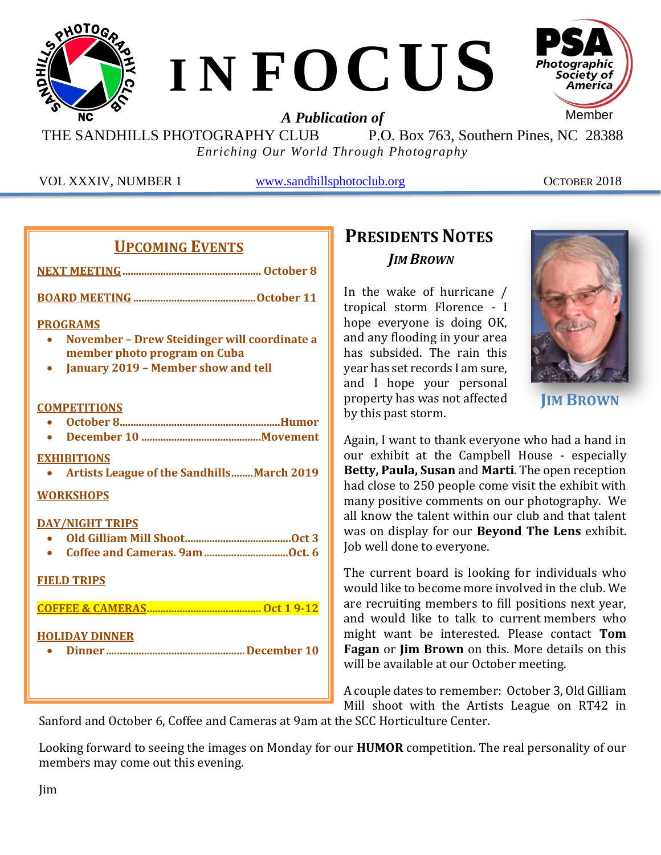

THE SANDHILLS PHOTOGRAPHY CLUB P.O. Box 763, Southern Pines, NC 28388 *Enriching Our World Through Photography*

VOL XXXIV, NUMBER 1 [www.sandhillsphotoclub.org](http://www.sandhillsphotoclub.org/) OCTOBER 2018

|--|

**BOARD MEETING .............................................October 11**

#### **PROGRAMS**

- **November – Drew Steidinger will coordinate a member photo program on Cuba**
- **January 2019 – Member show and tell**

#### **COMPETITIONS**

- **October 8...........................................................Humor**
- **December 10 ............................................Movement**

#### **EXHIBITIONS**

• **Artists League of the Sandhills........March 2019**

#### **WORKSHOPS**

#### **DAY/NIGHT TRIPS**

#### **FIELD TRIPS**

**COFFEE & CAMERAS.......................................... Oct 1 9-12**

#### **HOLIDAY DINNER**

• **Dinner ...................................................December 10**

## **PRESIDENTS NOTES** *JIM BROWN*

In the wake of hurricane / tropical storm Florence - I hope everyone is doing OK, and any flooding in your area has subsided. The rain this year has set records I am sure, and I hope your personal property has was not affected by this past storm.



**JIM BROWN**

Again, I want to thank everyone who had a hand in our exhibit at the Campbell House - especially **Betty, Paula, Susan** and **Marti**. The open reception had close to 250 people come visit the exhibit with many positive comments on our photography. We all know the talent within our club and that talent was on display for our **Beyond The Lens** exhibit. Job well done to everyone.

The current board is looking for individuals who would like to become more involved in the club. We are recruiting members to fill positions next year, and would like to talk to current members who might want be interested. Please contact **Tom Fagan** or **Jim Brown** on this. More details on this will be available at our October meeting.

A couple dates to remember: October 3, Old Gilliam Mill shoot with the Artists League on RT42 in

Sanford and October 6, Coffee and Cameras at 9am at the SCC Horticulture Center.

Looking forward to seeing the images on Monday for our **HUMOR** competition. The real personality of our members may come out this evening.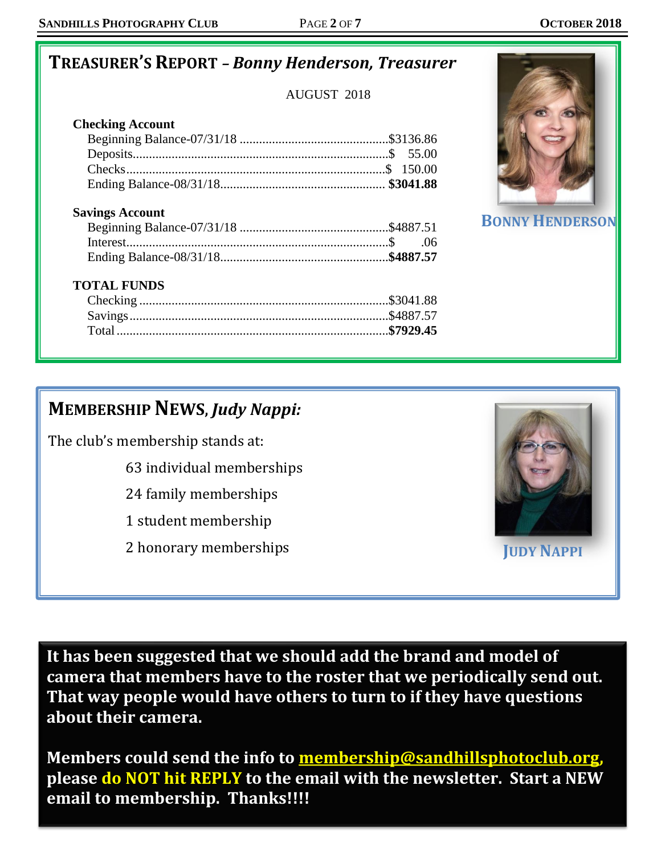## **TREASURER'S REPORT** *– Bonny Henderson, Treasurer*

AUGUST 2018

### **Checking Account**

### **Savings Account**

### **TOTAL FUNDS**



**BONNY HENDERSO** 

## **MEMBERSHIPNEWS,** *Judy Nappi:*

The club's membership stands at:

63 individual memberships

- 24 family memberships
- 1 student membership
- 2 honorary memberships **JUDY NAPPI**



**It has been suggested that we should add the brand and model of camera that members have to the roster that we periodically send out. That way people would have others to turn to if they have questions about their camera.** 

**Members could send the info to [membership@sandhillsphotoclub.org,](mailto:membership@sandhillsphotoclub.org) please do NOT hit REPLY to the email with the newsletter. Start a NEW email to membership. Thanks!!!!**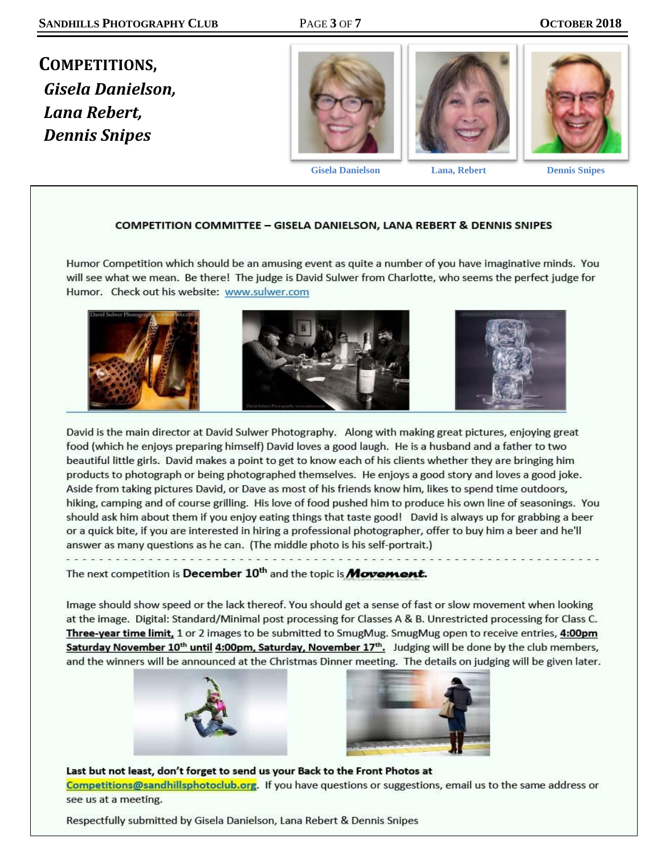**COMPETITIONS,** *Gisela Danielson, Lana Rebert, Dennis Snipes*





 **Gisela Danielson Lana, Rebert Dennis Snipes**

#### **COMPETITION COMMITTEE - GISELA DANIELSON, LANA REBERT & DENNIS SNIPES**

Humor Competition which should be an amusing event as quite a number of you have imaginative minds. You will see what we mean. Be there! The judge is David Sulwer from Charlotte, who seems the perfect judge for Humor. Check out his website: www.sulwer.com



David is the main director at David Sulwer Photography. Along with making great pictures, enjoying great food (which he enjoys preparing himself) David loves a good laugh. He is a husband and a father to two beautiful little girls. David makes a point to get to know each of his clients whether they are bringing him products to photograph or being photographed themselves. He enjoys a good story and loves a good joke. Aside from taking pictures David, or Dave as most of his friends know him, likes to spend time outdoors, hiking, camping and of course grilling. His love of food pushed him to produce his own line of seasonings. You should ask him about them if you enjoy eating things that taste good! David is always up for grabbing a beer or a quick bite, if you are interested in hiring a professional photographer, offer to buy him a beer and he'll answer as many questions as he can. (The middle photo is his self-portrait.)

The next competition is December 10<sup>th</sup> and the topic is **Movement.** 

Image should show speed or the lack thereof. You should get a sense of fast or slow movement when looking at the image. Digital: Standard/Minimal post processing for Classes A & B. Unrestricted processing for Class C. Three-year time limit, 1 or 2 images to be submitted to SmugMug. SmugMug open to receive entries, 4:00pm Saturday November 10<sup>th</sup> until 4:00pm, Saturday, November 17<sup>th</sup>. Judging will be done by the club members, and the winners will be announced at the Christmas Dinner meeting. The details on judging will be given later.





Last but not least, don't forget to send us your Back to the Front Photos at Competitions@sandhillsphotoclub.org. If you have questions or suggestions, email us to the same address or see us at a meeting.

Respectfully submitted by Gisela Danielson, Lana Rebert & Dennis Snipes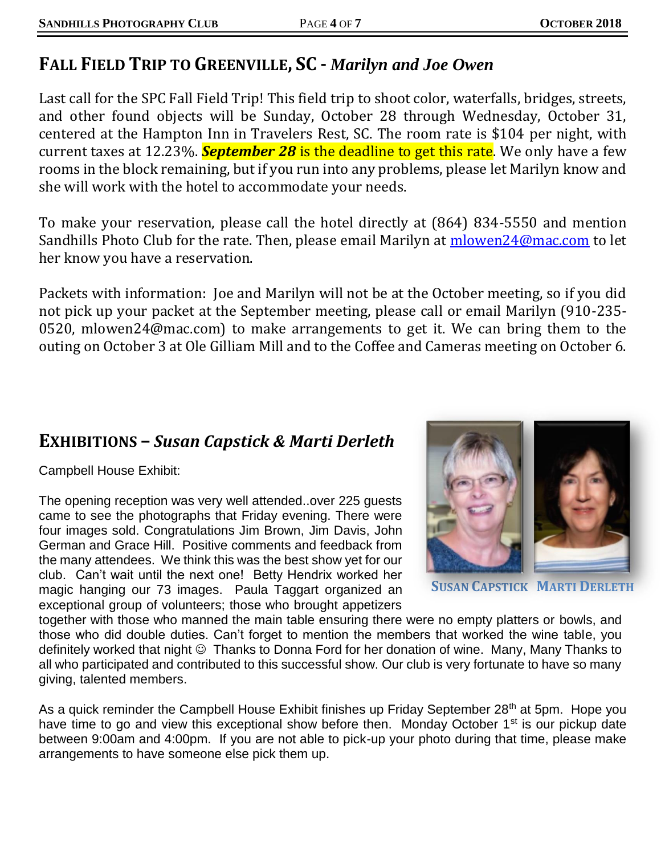## **FALL FIELD TRIP TO GREENVILLE, SC -** *Marilyn and Joe Owen*

Last call for the SPC Fall Field Trip! This field trip to shoot color, waterfalls, bridges, streets, and other found objects will be Sunday, October 28 through Wednesday, October 31, centered at the Hampton Inn in Travelers Rest, SC. The room rate is \$104 per night, with current taxes at 12.23%. *September 28* is the deadline to get this rate. We only have a few rooms in the block remaining, but if you run into any problems, please let Marilyn know and she will work with the hotel to accommodate your needs.

To make your reservation, please call the hotel directly at (864) 834-5550 and mention Sandhills Photo Club for the rate. Then, please email Marilyn at [mlowen24@mac.com](mailto:mlowen24@mac.com) to let her know you have a reservation.

Packets with information: Joe and Marilyn will not be at the October meeting, so if you did not pick up your packet at the September meeting, please call or email Marilyn (910-235- 0520, mlowen24@mac.com) to make arrangements to get it. We can bring them to the outing on October 3 at Ole Gilliam Mill and to the Coffee and Cameras meeting on October 6.

## **EXHIBITIONS –** *Susan Capstick & Marti Derleth*

Campbell House Exhibit:

The opening reception was very well attended..over 225 guests came to see the photographs that Friday evening. There were four images sold. Congratulations Jim Brown, Jim Davis, John German and Grace Hill. Positive comments and feedback from the many attendees. We think this was the best show yet for our club. Can't wait until the next one! Betty Hendrix worked her magic hanging our 73 images. Paula Taggart organized an exceptional group of volunteers; those who brought appetizers



**SUSAN CAPSTICK MARTI DERLETH**

together with those who manned the main table ensuring there were no empty platters or bowls, and those who did double duties. Can't forget to mention the members that worked the wine table, you definitely worked that night  $\odot$  Thanks to Donna Ford for her donation of wine. Many, Many Thanks to all who participated and contributed to this successful show. Our club is very fortunate to have so many giving, talented members.

As a quick reminder the Campbell House Exhibit finishes up Friday September 28<sup>th</sup> at 5pm. Hope you have time to go and view this exceptional show before then. Monday October 1<sup>st</sup> is our pickup date between 9:00am and 4:00pm. If you are not able to pick-up your photo during that time, please make arrangements to have someone else pick them up.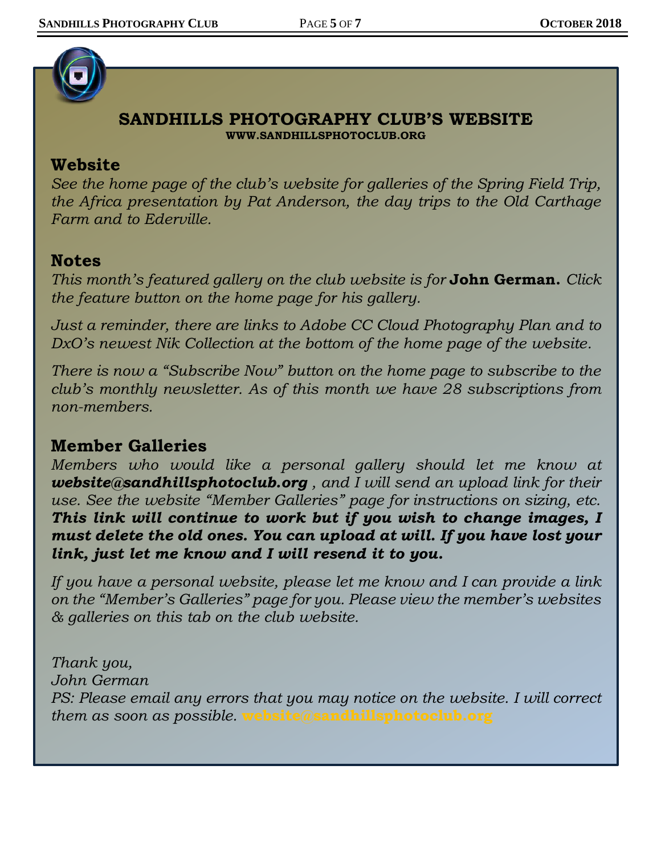

### **SANDHILLS PHOTOGRAPHY CLUB'S WEBSITE WWW.SANDHILLSPHOTOCLUB.ORG**

### **Website**

*See the home page of the club's website for galleries of the Spring Field Trip, the Africa presentation by Pat Anderson, the day trips to the Old Carthage Farm and to Ederville.* 

### **Notes**

*This month's featured gallery on the club website is for* **[John German.](https://sandhillsphotoclub.smugmug.com/Member-Galleries/John-German/Slideshow-for-Website/n-28xxL)** *Click the feature button on the home page for his gallery.* 

*Just a reminder, there are links to Adobe CC Cloud Photography Plan and to DxO's newest Nik Collection at the bottom of the home page of the website.* 

*There is now a "Subscribe Now" button on the home page to subscribe to the club's monthly newsletter. As of this month we have 28 subscriptions from non-members.*

### **Member Galleries**

*Members who would like a personal gallery should let me know at [website@sandhillsphotoclub.org](mailto:website@sandhillsphotoclub.org) , and I will send an upload link for their use. See the website "Member Galleries" page for instructions on sizing, etc. This link will continue to work but if you wish to change images, I must delete the old ones. You can upload at will. If you have lost your link, just let me know and I will resend it to you.*

*If you have a personal website, please let me know and I can provide a link on the "Member's Galleries" page for you. Please view the member's websites & galleries on this tab on the club website.* 

*Thank you, John German PS: Please email any errors that you may notice on the website. I will correct them as soon as possible.* **[website@sandhillsphotoclub.org](mailto:website@sandhillsphotoclub.org)**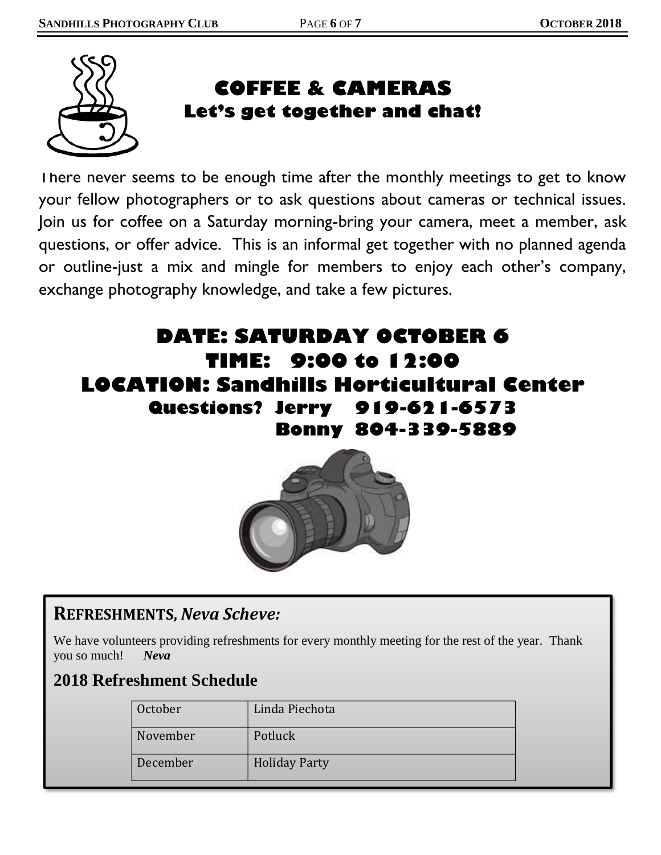

## **COFFEE & CAMERAS Let's get together and chat!**

There never seems to be enough time after the monthly meetings to get to know your fellow photographers or to ask questions about cameras or technical issues. Join us for coffee on a Saturday morning-bring your camera, meet a member, ask questions, or offer advice. This is an informal get together with no planned agenda or outline-just a mix and mingle for members to enjoy each other's company, exchange photography knowledge, and take a few pictures.

# **DATE: SATURDAY OCTOBER 6 TIME: 9:00 to 12:00 LOCATION: Sandhills Horticultural Center Questions? Jerry 919-621-6573 Bonny 804-339-5889**



## **REFRESHMENTS,** *Neva Scheve:*

We have volunteers providing refreshments for every monthly meeting for the rest of the year. Thank you so much! *Neva*

## **2018 Refreshment Schedule**

| October  | Linda Piechota       |
|----------|----------------------|
| November | Potluck              |
| December | <b>Holiday Party</b> |